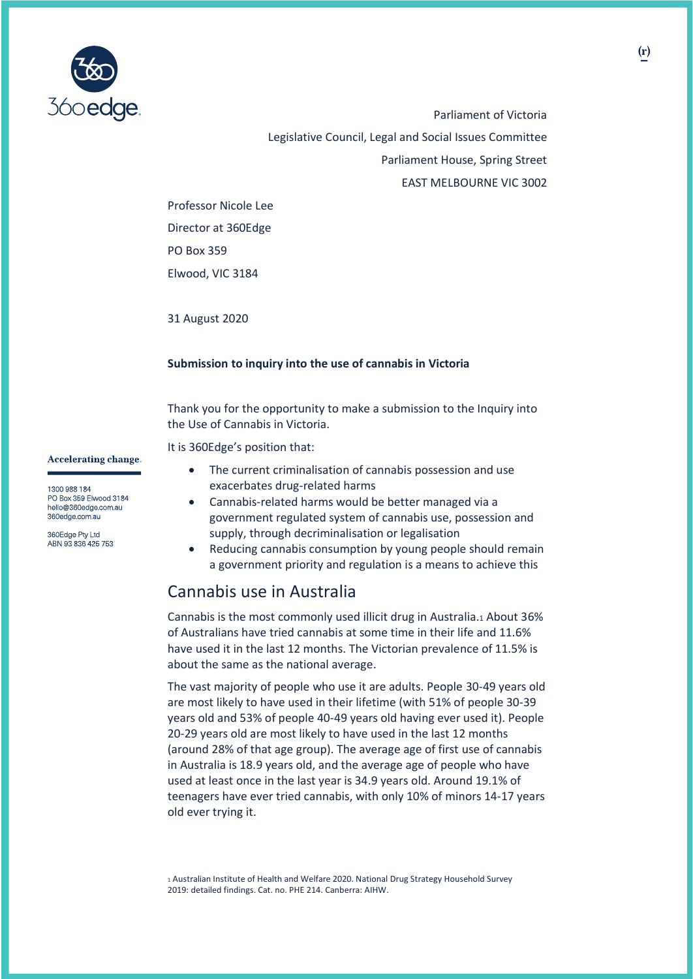

Parliament of Victoria Legislative Council, Legal and Social Issues Committee Parliament House, Spring Street EAST MELBOURNE VIC 3002

Professor Nicole Lee Director at 360Edge PO Box 359 Elwood, VIC 3184

31 August 2020

### **Submission to inquiry into the use of cannabis in Victoria**

Thank you for the opportunity to make a submission to the Inquiry into the Use of Cannabis in Victoria.

It is 360Edge's position that:

- The current criminalisation of cannabis possession and use exacerbates drug-related harms
- Cannabis-related harms would be better managed via a government regulated system of cannabis use, possession and supply, through decriminalisation or legalisation
- Reducing cannabis consumption by young people should remain a government priority and regulation is a means to achieve this

## Cannabis use in Australia

Cannabis is the most commonly used illicit drug in Australia.<sup>1</sup> About 36% of Australians have tried cannabis at some time in their life and 11.6% have used it in the last 12 months. The Victorian prevalence of 11.5% is about the same as the national average.

The vast majority of people who use it are adults. People 30-49 years old are most likely to have used in their lifetime (with 51% of people 30-39 years old and 53% of people 40-49 years old having ever used it). People 20-29 years old are most likely to have used in the last 12 months (around 28% of that age group). The average age of first use of cannabis in Australia is 18.9 years old, and the average age of people who have used at least once in the last year is 34.9 years old. Around 19.1% of teenagers have ever tried cannabis, with only 10% of minors 14-17 years old ever trying it.

<sup>1</sup> Australian Institute of Health and Welfare 2020. National Drug Strategy Household Survey 2019: detailed findings. Cat. no. PHE 214. Canberra: AIHW.

**Accelerating change.** 

1300 988 184 PO Box 359 Elwood 3184 hello@360edge.com.au 360edge.com.au

360Edge Pty Ltd ABN 93 836 425 753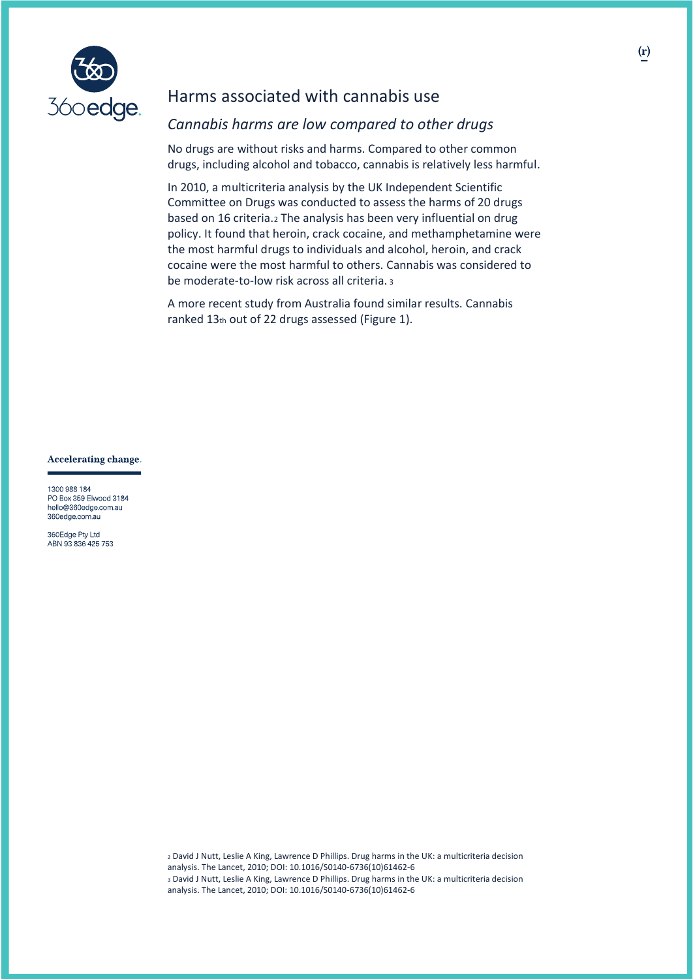

## Harms associated with cannabis use

## *Cannabis harms are low compared to other drugs*

No drugs are without risks and harms. Compared to other common drugs, including alcohol and tobacco, cannabis is relatively less harmful.

In 2010, a multicriteria analysis by the UK Independent Scientific Committee on Drugs was conducted to assess the harms of 20 drugs based on 16 criteria.<sup>2</sup> The analysis has been very influential on drug policy. It found that heroin, crack cocaine, and methamphetamine were the most harmful drugs to individuals and alcohol, heroin, and crack cocaine were the most harmful to others. Cannabis was considered to be moderate-to-low risk across all criteria. <sup>3</sup>

A more recent study from Australia found similar results. Cannabis ranked 13th out of 22 drugs assessed (Figure 1).

**Accelerating change.** 

1300 988 184 PO Box 359 Elwood 3184 hello@360edge.com.au 360edge.com.au

360Edge Pty Ltd ABN 93 836 425 753

> <sup>2</sup> David J Nutt, Leslie A King, Lawrence D Phillips. Drug harms in the UK: a multicriteria decision analysis. The Lancet, 2010; DOI: 10.1016/S0140-6736(10)61462-6 <sup>3</sup> David J Nutt, Leslie A King, Lawrence D Phillips. Drug harms in the UK: a multicriteria decision analysis. The Lancet, 2010; DOI: 10.1016/S0140-6736(10)61462-6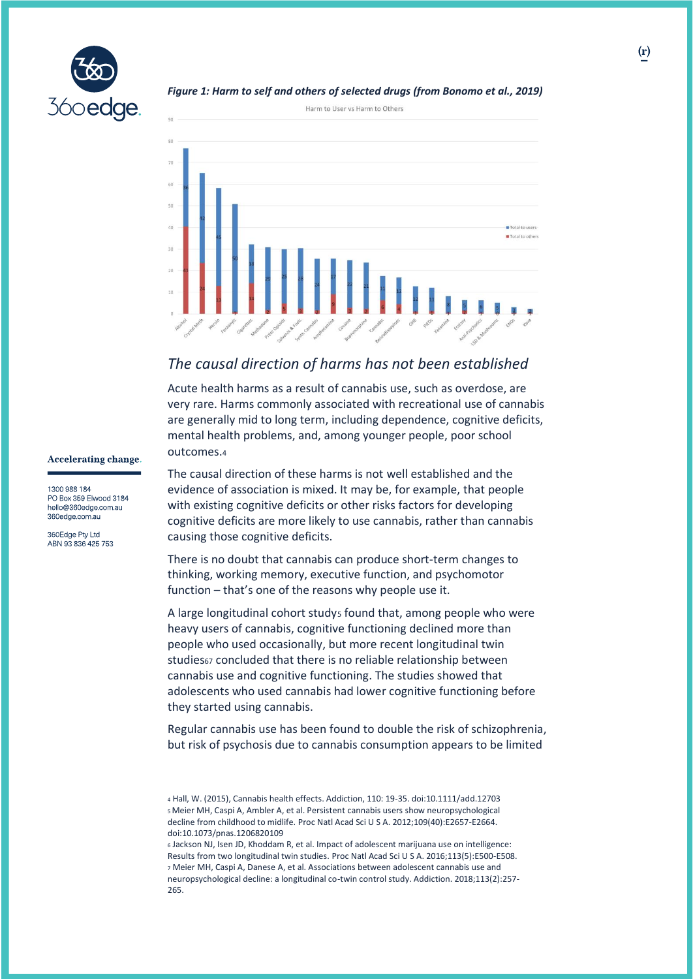

### *Figure 1: Harm to self and others of selected drugs (from Bonomo et al., 2019)*



## *The causal direction of harms has not been established*

Acute health harms as a result of cannabis use, such as overdose, are very rare. Harms commonly associated with recreational use of cannabis are generally mid to long term, including dependence, cognitive deficits, mental health problems, and, among younger people, poor school outcomes.<sup>4</sup>

#### **Accelerating change.**

1300 988 184 PO Box 359 Elwood 3184 hello@360edge.com.au 360edge.com.au

360Edge Pty Ltd ABN 93 836 425 753 The causal direction of these harms is not well established and the evidence of association is mixed. It may be, for example, that people with existing cognitive deficits or other risks factors for developing cognitive deficits are more likely to use cannabis, rather than cannabis causing those cognitive deficits.

There is no doubt that cannabis can produce short-term changes to thinking, working memory, executive function, and psychomotor function – that's one of the reasons why people use it.

A large longitudinal cohort studys found that, among people who were heavy users of cannabis, cognitive functioning declined more than people who used occasionally, but more recent longitudinal twin studies67 concluded that there is no reliable relationship between cannabis use and cognitive functioning. The studies showed that adolescents who used cannabis had lower cognitive functioning before they started using cannabis.

Regular cannabis use has been found to double the risk of schizophrenia, but risk of psychosis due to cannabis consumption appears to be limited

<sup>4</sup> Hall, W. (2015), Cannabis health effects. Addiction, 110: 19-35. doi:10.1111/add.12703 <sup>5</sup> Meier MH, Caspi A, Ambler A, et al. Persistent cannabis users show neuropsychological decline from childhood to midlife. Proc Natl Acad Sci U S A. 2012;109(40):E2657-E2664. doi:10.1073/pnas.1206820109

<sup>6</sup> Jackson NJ, Isen JD, Khoddam R, et al. Impact of adolescent marijuana use on intelligence: Results from two longitudinal twin studies. Proc Natl Acad Sci U S A. 2016;113(5):E500-E508. <sup>7</sup> Meier MH, Caspi A, Danese A, et al. Associations between adolescent cannabis use and neuropsychological decline: a longitudinal co-twin control study. Addiction. 2018;113(2):257- 265.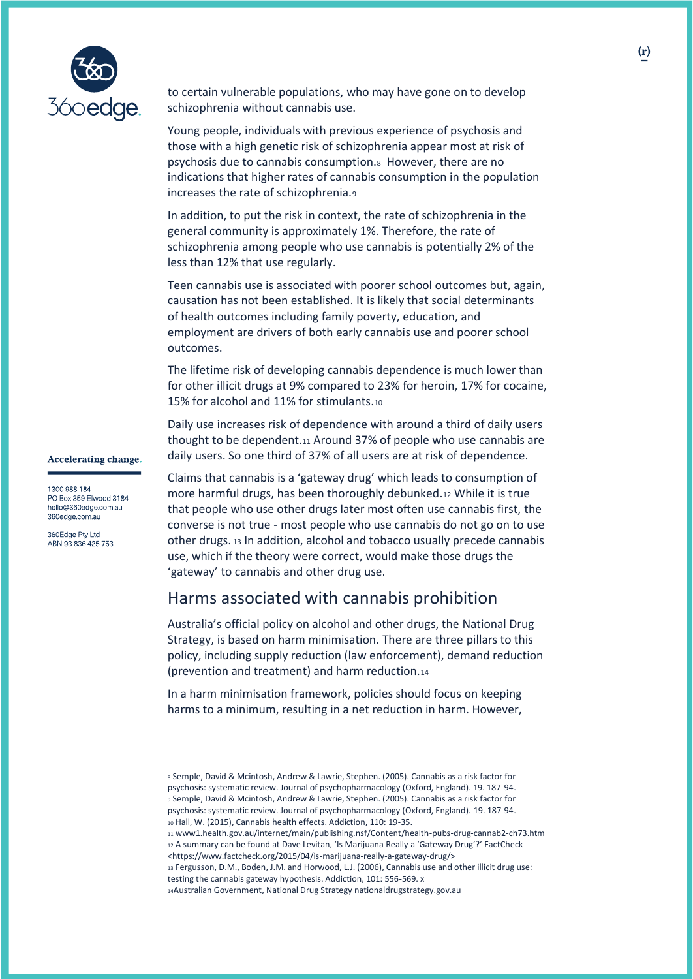

**Accelerating change.** 

1300 988 184 PO Box 359 Elwood 3184 hello@360edge.com.au 360edge.com.au 360Edge Pty Ltd ABN 93 836 425 753

to certain vulnerable populations, who may have gone on to develop schizophrenia without cannabis use.

Young people, individuals with previous experience of psychosis and those with a high genetic risk of schizophrenia appear most at risk of psychosis due to cannabis consumption.8 However, there are no indications that higher rates of cannabis consumption in the population increases the rate of schizophrenia.<sup>9</sup>

In addition, to put the risk in context, the rate of schizophrenia in the general community is approximately 1%. Therefore, the rate of schizophrenia among people who use cannabis is potentially 2% of the less than 12% that use regularly.

Teen cannabis use is associated with poorer school outcomes but, again, causation has not been established. It is likely that social determinants of health outcomes including family poverty, education, and employment are drivers of both early cannabis use and poorer school outcomes.

The lifetime risk of developing cannabis dependence is much lower than for other illicit drugs at 9% compared to 23% for heroin, 17% for cocaine, 15% for alcohol and 11% for stimulants.<sup>10</sup>

Daily use increases risk of dependence with around a third of daily users thought to be dependent.<sup>11</sup> Around 37% of people who use cannabis are daily users. So one third of 37% of all users are at risk of dependence.

Claims that cannabis is a 'gateway drug' which leads to consumption of more harmful drugs, has been thoroughly debunked.<sup>12</sup> While it is true that people who use other drugs later most often use cannabis first, the converse is not true - most people who use cannabis do not go on to use other drugs. <sup>13</sup> In addition, alcohol and tobacco usually precede cannabis use, which if the theory were correct, would make those drugs the 'gateway' to cannabis and other drug use.

## Harms associated with cannabis prohibition

Australia's official policy on alcohol and other drugs, the National Drug Strategy, is based on harm minimisation. There are three pillars to this policy, including supply reduction (law enforcement), demand reduction (prevention and treatment) and harm reduction.<sup>14</sup>

In a harm minimisation framework, policies should focus on keeping harms to a minimum, resulting in a net reduction in harm. However,

<sup>13</sup> Fergusson, D.M., Boden, J.M. and Horwood, L.J. (2006), Cannabis use and other illicit drug use: testing the cannabis gateway hypothesis. Addiction, 101: 556-569. x

<sup>8</sup> Semple, David & Mcintosh, Andrew & Lawrie, Stephen. (2005). Cannabis as a risk factor for psychosis: systematic review. Journal of psychopharmacology (Oxford, England). 19. 187-94. <sup>9</sup> Semple, David & Mcintosh, Andrew & Lawrie, Stephen. (2005). Cannabis as a risk factor for psychosis: systematic review. Journal of psychopharmacology (Oxford, England). 19. 187-94. <sup>10</sup> Hall, W. (2015), Cannabis health effects. Addiction, 110: 19-35.

<sup>11</sup> www1.health.gov.au/internet/main/publishing.nsf/Content/health-pubs-drug-cannab2-ch73.htm 12 A summary can be found at Dave Levitan, 'Is Marijuana Really a 'Gateway Drug'?' FactCheck <https://www.factcheck.org/2015/04/is-marijuana-really-a-gateway-drug/>

<sup>14</sup>Australian Government, National Drug Strategy nationaldrugstrategy.gov.au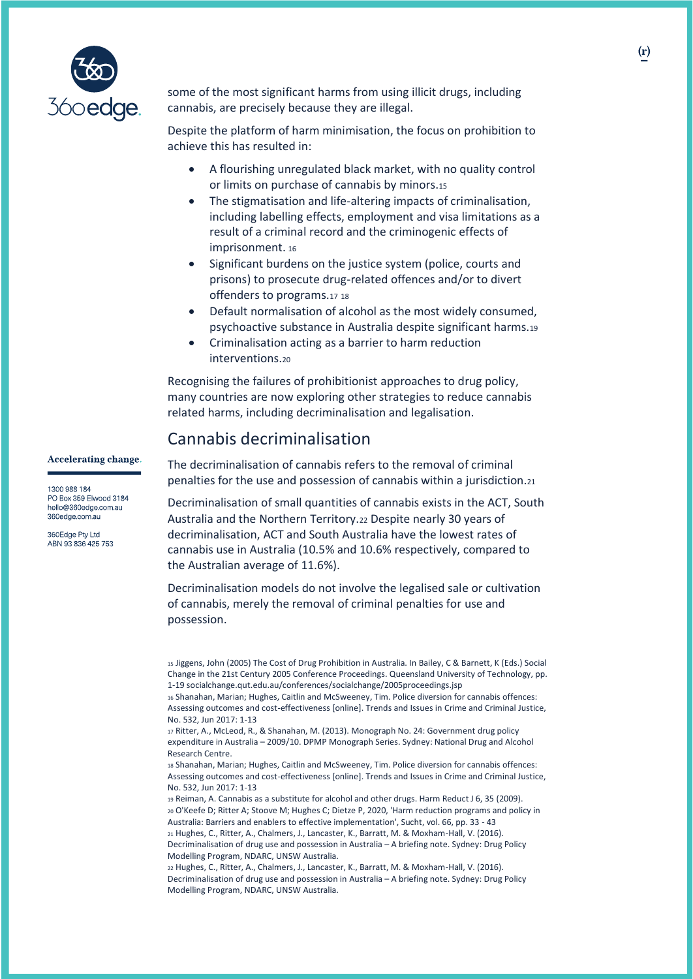

some of the most significant harms from using illicit drugs, including cannabis, are precisely because they are illegal.

Despite the platform of harm minimisation, the focus on prohibition to achieve this has resulted in:

- A flourishing unregulated black market, with no quality control or limits on purchase of cannabis by minors.<sup>15</sup>
- The stigmatisation and life-altering impacts of criminalisation, including labelling effects, employment and visa limitations as a result of a criminal record and the criminogenic effects of imprisonment. <sup>16</sup>
- Significant burdens on the justice system (police, courts and prisons) to prosecute drug-related offences and/or to divert offenders to programs.<sup>17</sup> <sup>18</sup>
- Default normalisation of alcohol as the most widely consumed, psychoactive substance in Australia despite significant harms.<sup>19</sup>
- Criminalisation acting as a barrier to harm reduction interventions.<sup>20</sup>

Recognising the failures of prohibitionist approaches to drug policy, many countries are now exploring other strategies to reduce cannabis related harms, including decriminalisation and legalisation.

## **Accelerating change.**

1300 988 184 PO Box 359 Elwood 3184 hello@360edge.com.au 360edge.com.au

360Edge Pty Ltd ABN 93 836 425 753

## Cannabis decriminalisation

The decriminalisation of cannabis refers to the removal of criminal penalties for the use and possession of cannabis within a jurisdiction.<sup>21</sup>

Decriminalisation of small quantities of cannabis exists in the ACT, South Australia and the Northern Territory.<sup>22</sup> Despite nearly 30 years of decriminalisation, ACT and South Australia have the lowest rates of cannabis use in Australia (10.5% and 10.6% respectively, compared to the Australian average of 11.6%).

Decriminalisation models do not involve the legalised sale or cultivation of cannabis, merely the removal of criminal penalties for use and possession.

<sup>15</sup> Jiggens, John (2005) The Cost of Drug Prohibition in Australia. In Bailey, C & Barnett, K (Eds.) Social Change in the 21st Century 2005 Conference Proceedings. Queensland University of Technology, pp. 1-19 socialchange.qut.edu.au/conferences/socialchange/2005proceedings.jsp

<sup>16</sup> Shanahan, Marian; Hughes, Caitlin and McSweeney, Tim. Police diversion for cannabis offences: Assessing outcomes and cost-effectiveness [online]. Trends and Issues in Crime and Criminal Justice, No. 532, Jun 2017: 1-13

<sup>17</sup> Ritter, A., McLeod, R., & Shanahan, M. (2013). Monograph No. 24: Government drug policy expenditure in Australia – 2009/10. DPMP Monograph Series. Sydney: National Drug and Alcohol Research Centre.

<sup>18</sup> Shanahan, Marian; Hughes, Caitlin and McSweeney, Tim. Police diversion for cannabis offences: Assessing outcomes and cost-effectiveness [online]. Trends and Issues in Crime and Criminal Justice, No. 532, Jun 2017: 1-13

<sup>19</sup> Reiman, A. Cannabis as a substitute for alcohol and other drugs. Harm Reduct J 6, 35 (2009). <sup>20</sup> O'Keefe D; Ritter A; Stoove M; Hughes C; Dietze P, 2020, 'Harm reduction programs and policy in Australia: Barriers and enablers to effective implementation', Sucht, vol. 66, pp. 33 - 43 <sup>21</sup> Hughes, C., Ritter, A., Chalmers, J., Lancaster, K., Barratt, M. & Moxham-Hall, V. (2016). Decriminalisation of drug use and possession in Australia – A briefing note. Sydney: Drug Policy

Modelling Program, NDARC, UNSW Australia. <sup>22</sup> Hughes, C., Ritter, A., Chalmers, J., Lancaster, K., Barratt, M. & Moxham-Hall, V. (2016).

Decriminalisation of drug use and possession in Australia – A briefing note. Sydney: Drug Policy Modelling Program, NDARC, UNSW Australia.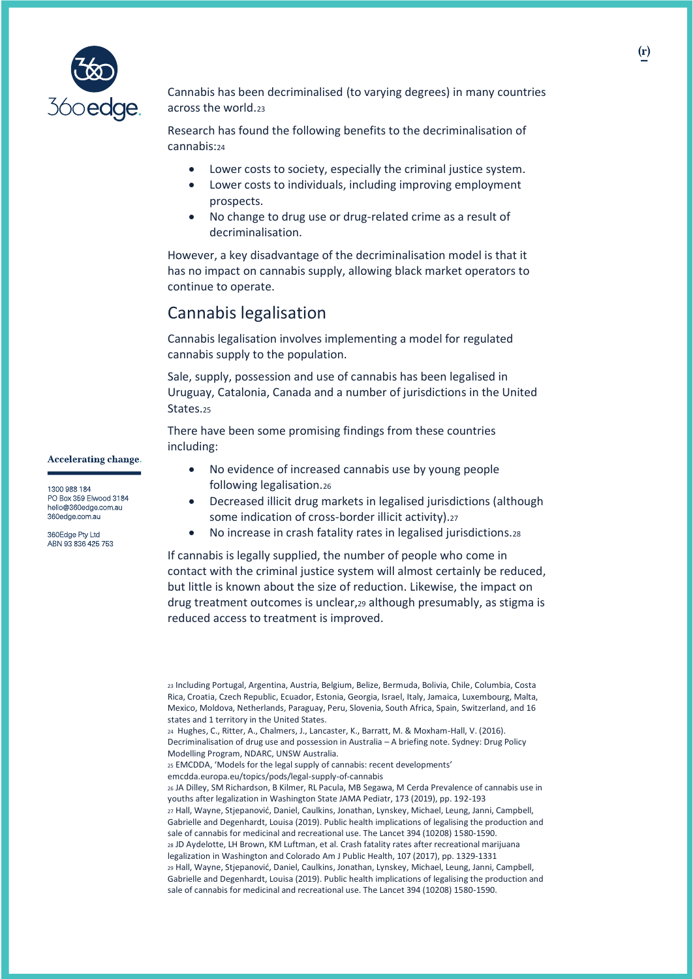

Cannabis has been decriminalised (to varying degrees) in many countries across the world.<sup>23</sup>

Research has found the following benefits to the decriminalisation of cannabis:<sup>24</sup>

- Lower costs to society, especially the criminal justice system.
- Lower costs to individuals, including improving employment prospects.
- No change to drug use or drug-related crime as a result of decriminalisation.

However, a key disadvantage of the decriminalisation model is that it has no impact on cannabis supply, allowing black market operators to continue to operate.

## Cannabis legalisation

Cannabis legalisation involves implementing a model for regulated cannabis supply to the population.

Sale, supply, possession and use of cannabis has been legalised in Uruguay, Catalonia, Canada and a number of jurisdictions in the United States.<sup>25</sup>

There have been some promising findings from these countries including:

**Accelerating change.** 

1300 988 184 PO Box 359 Elwood 3184 hello@360edge.com.au 360edge.com.au

360Edge Pty Ltd ABN 93 836 425 753

- No evidence of increased cannabis use by young people following legalisation.<sup>26</sup>
- Decreased illicit drug markets in legalised jurisdictions (although some indication of cross-border illicit activity).<sup>27</sup>
- No increase in crash fatality rates in legalised jurisdictions.<sup>28</sup>

If cannabis is legally supplied, the number of people who come in contact with the criminal justice system will almost certainly be reduced, but little is known about the size of reduction. Likewise, the impact on drug treatment outcomes is unclear,<sup>29</sup> although presumably, as stigma is reduced access to treatment is improved.

<sup>23</sup> Including Portugal, Argentina, Austria, Belgium, Belize, Bermuda, Bolivia, Chile, Columbia, Costa Rica, Croatia, Czech Republic, Ecuador, Estonia, Georgia, Israel, Italy, Jamaica, Luxembourg, Malta, Mexico, Moldova, Netherlands, Paraguay, Peru, Slovenia, South Africa, Spain, Switzerland, and 16 states and 1 territory in the United States.

<sup>24</sup> Hughes, C., Ritter, A., Chalmers, J., Lancaster, K., Barratt, M. & Moxham-Hall, V. (2016). Decriminalisation of drug use and possession in Australia – A briefing note. Sydney: Drug Policy

Modelling Program, NDARC, UNSW Australia.

<sup>25</sup> EMCDDA, 'Models for the legal supply of cannabis: recent developments'

emcdda.europa.eu/topics/pods/legal-supply-of-cannabis

<sup>26</sup> JA Dilley, SM Richardson, B Kilmer, RL Pacula, MB Segawa, M Cerda Prevalence of cannabis use in youths after legalization in Washington State JAMA Pediatr, 173 (2019), pp. 192-193 <sup>27</sup> Hall, Wayne, Stjepanović, Daniel, Caulkins, Jonathan, Lynskey, Michael, Leung, Janni, Campbell, Gabrielle and Degenhardt, Louisa (2019). Public health implications of legalising the production and sale of cannabis for medicinal and recreational use. The Lancet 394 (10208) 1580-1590. <sup>28</sup> JD Aydelotte, LH Brown, KM Luftman, et al. Crash fatality rates after recreational marijuana legalization in Washington and Colorado Am J Public Health, 107 (2017), pp. 1329-1331 <sup>29</sup> Hall, Wayne, Stjepanović, Daniel, Caulkins, Jonathan, Lynskey, Michael, Leung, Janni, Campbell, Gabrielle and Degenhardt, Louisa (2019). Public health implications of legalising the production and sale of cannabis for medicinal and recreational use. The Lancet 394 (10208) 1580-1590.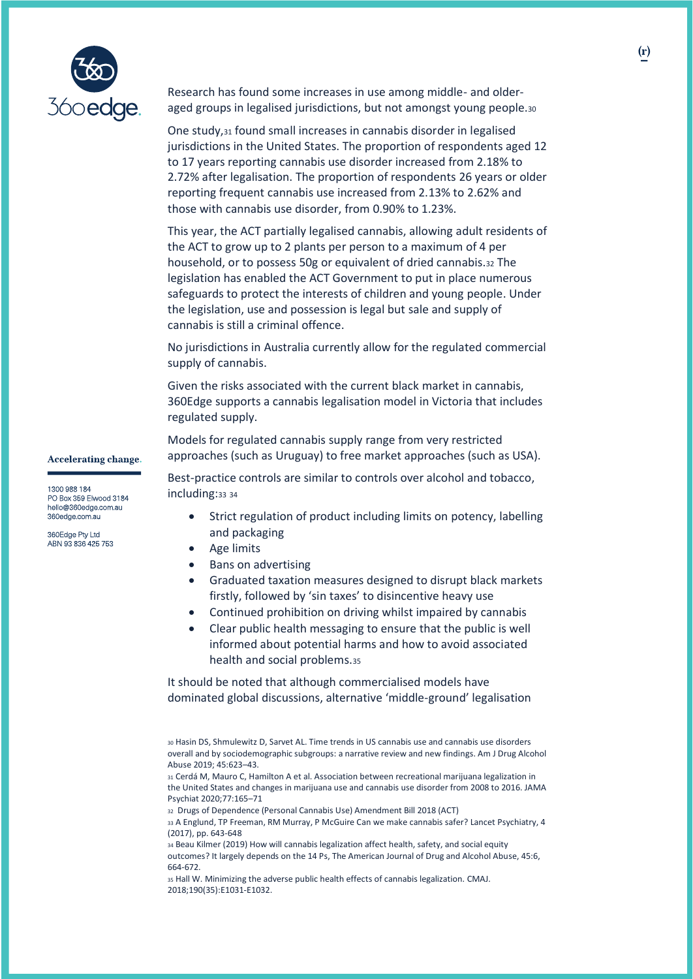

Research has found some increases in use among middle- and olderaged groups in legalised jurisdictions, but not amongst young people.<sup>30</sup>

One study,<sup>31</sup> found small increases in cannabis disorder in legalised jurisdictions in the United States. The proportion of respondents aged 12 to 17 years reporting cannabis use disorder increased from 2.18% to 2.72% after legalisation. The proportion of respondents 26 years or older reporting frequent cannabis use increased from 2.13% to 2.62% and those with cannabis use disorder, from 0.90% to 1.23%.

This year, the ACT partially legalised cannabis, allowing adult residents of the ACT to grow up to 2 plants per person to a maximum of 4 per household, or to possess 50g or equivalent of dried cannabis.<sup>32</sup> The legislation has enabled the ACT Government to put in place numerous safeguards to protect the interests of children and young people. Under the legislation, use and possession is legal but sale and supply of cannabis is still a criminal offence.

No jurisdictions in Australia currently allow for the regulated commercial supply of cannabis.

Given the risks associated with the current black market in cannabis, 360Edge supports a cannabis legalisation model in Victoria that includes regulated supply.

Models for regulated cannabis supply range from very restricted approaches (such as Uruguay) to free market approaches (such as USA).

Best-practice controls are similar to controls over alcohol and tobacco, including: 33 34

- Strict regulation of product including limits on potency, labelling and packaging
- Age limits
- Bans on advertising
- Graduated taxation measures designed to disrupt black markets firstly, followed by 'sin taxes' to disincentive heavy use
- Continued prohibition on driving whilst impaired by cannabis
- Clear public health messaging to ensure that the public is well informed about potential harms and how to avoid associated health and social problems.<sup>35</sup>

It should be noted that although commercialised models have dominated global discussions, alternative 'middle-ground' legalisation

<sup>32</sup> Drugs of Dependence (Personal Cannabis Use) Amendment Bill 2018 (ACT)

<sup>33</sup> A Englund, TP Freeman, RM Murray, P McGuire Can we make cannabis safer? Lancet Psychiatry, 4 (2017), pp. 643-648

<sup>34</sup> Beau Kilmer (2019) How will cannabis legalization affect health, safety, and social equity outcomes? It largely depends on the 14 Ps, The American Journal of Drug and Alcohol Abuse, 45:6, 664-672.

<sup>35</sup> Hall W. Minimizing the adverse public health effects of cannabis legalization. CMAJ. 2018;190(35):E1031‐E1032.

**Accelerating change.** 

1300 988 184 PO Box 359 Elwood 3184 hello@360edge.com.au 360edge.com.au

360Edge Pty Ltd ABN 93 836 425 753

<sup>30</sup> Hasin DS, Shmulewitz D, Sarvet AL. Time trends in US cannabis use and cannabis use disorders overall and by sociodemographic subgroups: a narrative review and new findings. Am J Drug Alcohol Abuse 2019; 45:623–43.

<sup>31</sup> Cerdá M, Mauro C, Hamilton A et al. Association between recreational marijuana legalization in the United States and changes in marijuana use and cannabis use disorder from 2008 to 2016. JAMA Psychiat 2020;77:165–71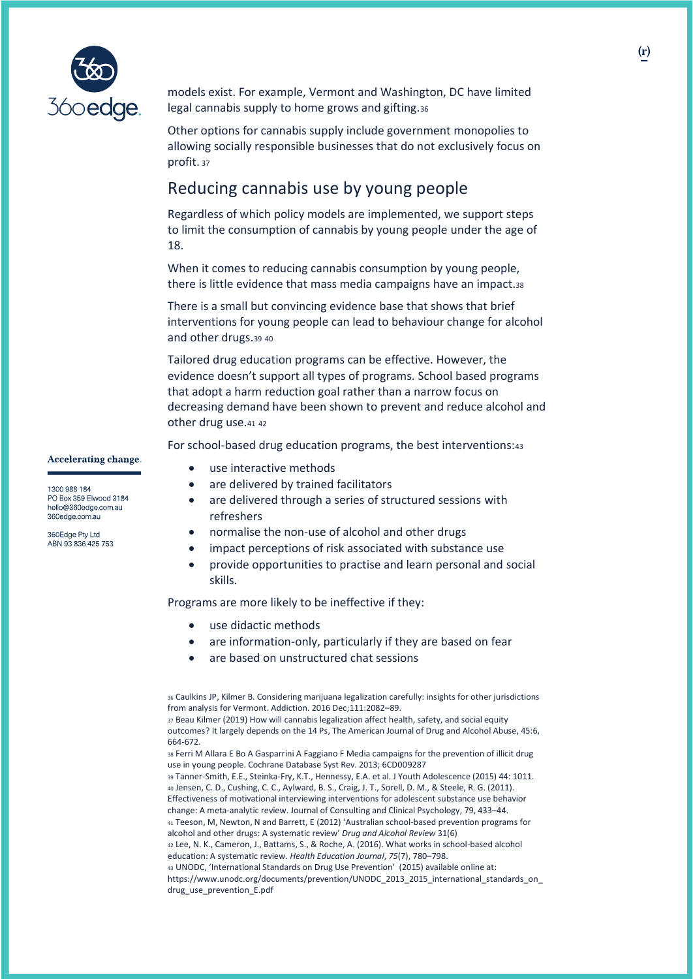

models exist. For example, Vermont and Washington, DC have limited legal cannabis supply to home grows and gifting.<sup>36</sup>

Other options for cannabis supply include government monopolies to allowing socially responsible businesses that do not exclusively focus on profit. <sup>37</sup>

## Reducing cannabis use by young people

Regardless of which policy models are implemented, we support steps to limit the consumption of cannabis by young people under the age of 18.

When it comes to reducing cannabis consumption by young people, there is little evidence that mass media campaigns have an impact.<sup>38</sup>

There is a small but convincing evidence base that shows that brief interventions for young people can lead to behaviour change for alcohol and other drugs.<sup>39</sup> <sup>40</sup>

Tailored drug education programs can be effective. However, the evidence doesn't support all types of programs. School based programs that adopt a harm reduction goal rather than a narrow focus on decreasing demand have been shown to prevent and reduce alcohol and other drug use.<sup>41</sup> <sup>42</sup>

For school-based drug education programs, the best interventions:<sup>43</sup>

**Accelerating change.** 

1300 988 184 PO Box 359 Elwood 3184 hello@360edge.com.au 360edge.com.au

360Edge Pty Ltd ABN 93 836 425 753

- use interactive methods
- are delivered by trained facilitators
- are delivered through a series of structured sessions with refreshers
- normalise the non-use of alcohol and other drugs
- impact perceptions of risk associated with substance use
- provide opportunities to practise and learn personal and social skills.

Programs are more likely to be ineffective if they:

- use didactic methods
- are information-only, particularly if they are based on fear
- are based on unstructured chat sessions

<sup>42</sup> Lee, N. K., Cameron, J., Battams, S., & Roche, A. (2016). What works in school-based alcohol education: A systematic review. *Health Education Journal*, *75*(7), 780–798.

<sup>36</sup> Caulkins JP, Kilmer B. Considering marijuana legalization carefully: insights for other jurisdictions from analysis for Vermont. Addiction. 2016 Dec;111:2082–89.

<sup>37</sup> Beau Kilmer (2019) How will cannabis legalization affect health, safety, and social equity outcomes? It largely depends on the 14 Ps, The American Journal of Drug and Alcohol Abuse, 45:6, 664-672.

<sup>38</sup> Ferri M Allara E Bo A Gasparrini A Faggiano F Media campaigns for the prevention of illicit drug use in young people. Cochrane Database Syst Rev. 2013; 6CD009287

<sup>39</sup> Tanner-Smith, E.E., Steinka-Fry, K.T., Hennessy, E.A. et al. J Youth Adolescence (2015) 44: 1011. <sup>40</sup> Jensen, C. D., Cushing, C. C., Aylward, B. S., Craig, J. T., Sorell, D. M., & Steele, R. G. (2011). Effectiveness of motivational interviewing interventions for adolescent substance use behavior change: A meta-analytic review. Journal of Consulting and Clinical Psychology, 79, 433–44.

<sup>41</sup> Teeson, M, Newton, N and Barrett, E (2012) 'Australian school‐based prevention programs for alcohol and other drugs: A systematic review' *Drug and Alcohol Review* 31(6)

<sup>43</sup> UNODC, 'International Standards on Drug Use Prevention' (2015) available online at: https://www.unodc.org/documents/prevention/UNODC\_2013\_2015\_international\_standards\_on\_ drug\_use\_prevention\_E.pdf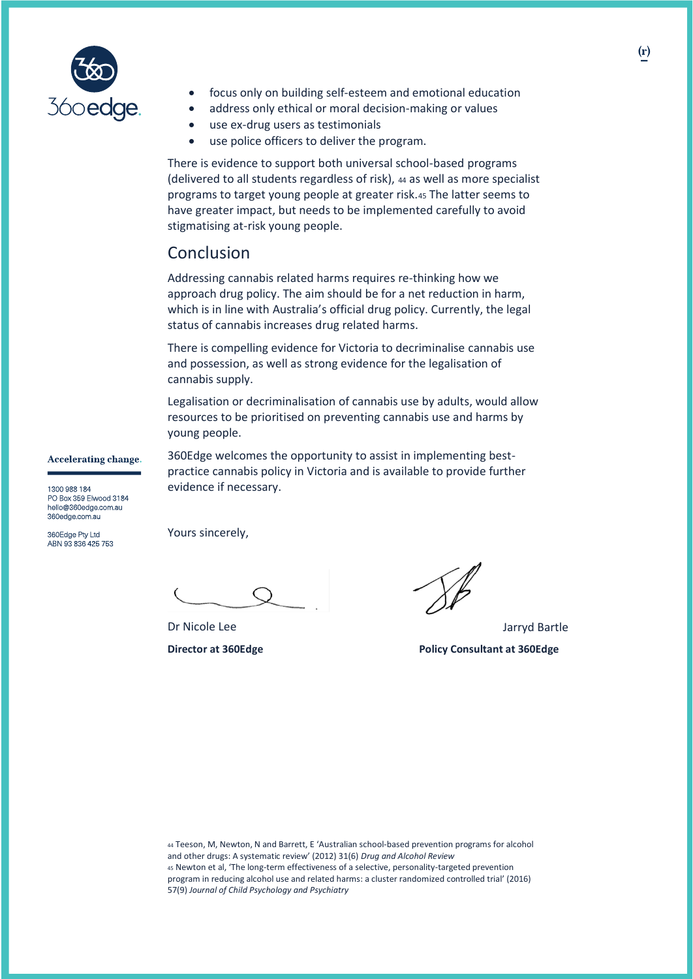

- focus only on building self-esteem and emotional education
- address only ethical or moral decision-making or values
- use ex-drug users as testimonials
- use police officers to deliver the program.

There is evidence to support both universal school-based programs (delivered to all students regardless of risk), <sup>44</sup> as well as more specialist programs to target young people at greater risk.<sup>45</sup> The latter seems to have greater impact, but needs to be implemented carefully to avoid stigmatising at-risk young people.

## Conclusion

Addressing cannabis related harms requires re-thinking how we approach drug policy. The aim should be for a net reduction in harm, which is in line with Australia's official drug policy. Currently, the legal status of cannabis increases drug related harms.

There is compelling evidence for Victoria to decriminalise cannabis use and possession, as well as strong evidence for the legalisation of cannabis supply.

Legalisation or decriminalisation of cannabis use by adults, would allow resources to be prioritised on preventing cannabis use and harms by young people.

360Edge welcomes the opportunity to assist in implementing bestpractice cannabis policy in Victoria and is available to provide further

**Accelerating change.** 

1300 988 184 PO Box 359 Elwood 3184 hello@360edge.com.au 360edge.com.au

360Edge Pty Ltd ABN 93 836 425 753 Yours sincerely,

evidence if necessary.

Dr Nicole Lee Jarryd Bartle **Director at 360Edge Policy Consultant at 360Edge**

44 Teeson, M, Newton, N and Barrett, E 'Australian school-based prevention programs for alcohol and other drugs: A systematic review' (2012) 31(6) *Drug and Alcohol Review*  45 Newton et al, 'The long-term effectiveness of a selective, personality-targeted prevention program in reducing alcohol use and related harms: a cluster randomized controlled trial' (2016) 57(9) *Journal of Child Psychology and Psychiatry*